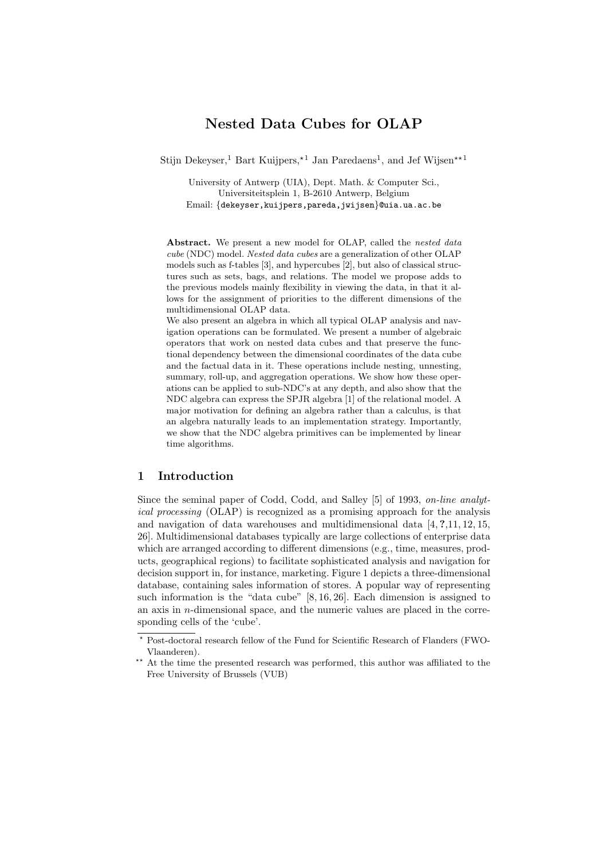# **Nested Data Cubes for OLAP**

Stijn Dekeyser,<sup>1</sup> Bart Kuijpers,<sup>\*1</sup> Jan Paredaens<sup>1</sup>, and Jef Wijsen<sup>\*\*1</sup>

University of Antwerp (UIA), Dept. Math. & Computer Sci., Universiteitsplein 1, B-2610 Antwerp, Belgium Email: {dekeyser,kuijpers,pareda,jwijsen}@uia.ua.ac.be

Abstract. We present a new model for OLAP, called the *nested data* cube (NDC) model. Nested data cubes are a generalization of other OLAP models such as f-tables [3], and hypercubes [2], but also of classical structures such as sets, bags, and relations. The model we propose adds to the previous models mainly flexibility in viewing the data, in that it allows for the assignment of priorities to the different dimensions of the multidimensional OLAP data.

We also present an algebra in which all typical OLAP analysis and navigation operations can be formulated. We present a number of algebraic operators that work on nested data cubes and that preserve the functional dependency between the dimensional coordinates of the data cube and the factual data in it. These operations include nesting, unnesting, summary, roll-up, and aggregation operations. We show how these operations can be applied to sub-NDC's at any depth, and also show that the NDC algebra can express the SPJR algebra [1] of the relational model. A major motivation for defining an algebra rather than a calculus, is that an algebra naturally leads to an implementation strategy. Importantly, we show that the NDC algebra primitives can be implemented by linear time algorithms.

# **1 Introduction**

Since the seminal paper of Codd, Codd, and Salley [5] of 1993, *on-line analytical processing* (OLAP) is recognized as a promising approach for the analysis and navigation of data warehouses and multidimensional data [4, **?**,11, 12, 15, 26]. Multidimensional databases typically are large collections of enterprise data which are arranged according to different dimensions (e.g., time, measures, products, geographical regions) to facilitate sophisticated analysis and navigation for decision support in, for instance, marketing. Figure 1 depicts a three-dimensional database, containing sales information of stores. A popular way of representing such information is the "data cube" [8, 16, 26]. Each dimension is assigned to an axis in  $n$ -dimensional space, and the numeric values are placed in the corresponding cells of the 'cube'.

Post-doctoral research fellow of the Fund for Scientific Research of Flanders (FWO-Vlaanderen).

<sup>\*\*</sup> At the time the presented research was performed, this author was affiliated to the Free University of Brussels (VUB)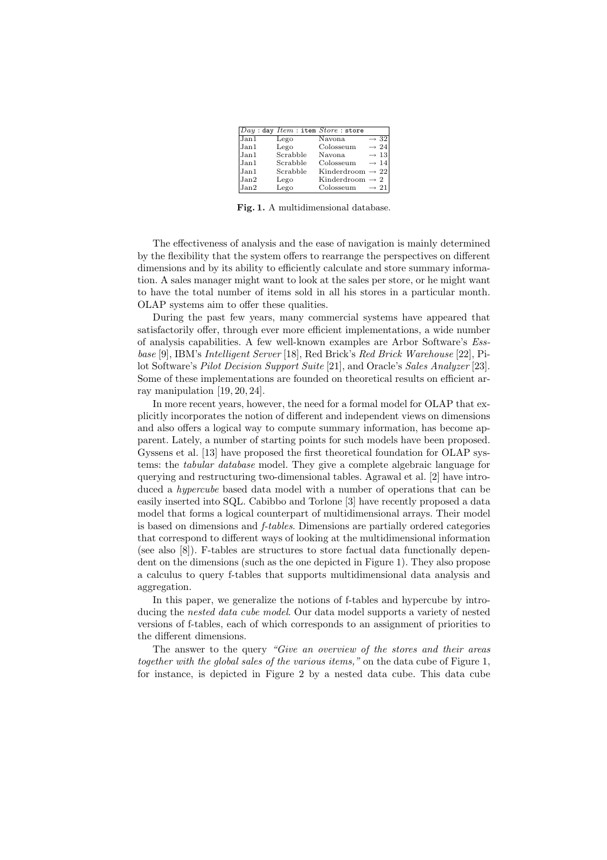|      |          | $Day:$ day $Item:$ item $Store:$ store |                  |                  |
|------|----------|----------------------------------------|------------------|------------------|
| Jan1 | Lego     | Navona                                 |                  | $\rightarrow$ 32 |
| Jan1 | Lego     | Colosseum                              |                  | $\rightarrow 24$ |
| Jan1 | Scrabble | Navona                                 |                  | $\rightarrow$ 13 |
| Jan1 | Scrabble | Colosseum                              |                  | $\rightarrow$ 14 |
| Jan1 | Scrabble | Kinderdroom $\rightarrow$ 22           |                  |                  |
| Jan2 | Lego     | Kinderdroom $\rightarrow$ 2            |                  |                  |
| Jan2 | Lego     | Colosseum                              | $\rightarrow 21$ |                  |

**Fig. 1.** A multidimensional database.

The effectiveness of analysis and the ease of navigation is mainly determined by the flexibility that the system offers to rearrange the perspectives on different dimensions and by its ability to efficiently calculate and store summary information. A sales manager might want to look at the sales per store, or he might want to have the total number of items sold in all his stores in a particular month. OLAP systems aim to offer these qualities.

During the past few years, many commercial systems have appeared that satisfactorily offer, through ever more efficient implementations, a wide number of analysis capabilities. A few well-known examples are Arbor Software's *Essbase* [9], IBM's *Intelligent Server* [18], Red Brick's *Red Brick Warehouse* [22], Pilot Software's *Pilot Decision Support Suite* [21], and Oracle's *Sales Analyzer* [23]. Some of these implementations are founded on theoretical results on efficient array manipulation [19, 20, 24].

In more recent years, however, the need for a formal model for OLAP that explicitly incorporates the notion of different and independent views on dimensions and also offers a logical way to compute summary information, has become apparent. Lately, a number of starting points for such models have been proposed. Gyssens et al. [13] have proposed the first theoretical foundation for OLAP systems: the *tabular database* model. They give a complete algebraic language for querying and restructuring two-dimensional tables. Agrawal et al. [2] have introduced a *hypercube* based data model with a number of operations that can be easily inserted into SQL. Cabibbo and Torlone [3] have recently proposed a data model that forms a logical counterpart of multidimensional arrays. Their model is based on dimensions and *f-tables*. Dimensions are partially ordered categories that correspond to different ways of looking at the multidimensional information (see also [8]). F-tables are structures to store factual data functionally dependent on the dimensions (such as the one depicted in Figure 1). They also propose a calculus to query f-tables that supports multidimensional data analysis and aggregation.

In this paper, we generalize the notions of f-tables and hypercube by introducing the *nested data cube model*. Our data model supports a variety of nested versions of f-tables, each of which corresponds to an assignment of priorities to the different dimensions.

The answer to the query *"Give an overview of the stores and their areas together with the global sales of the various items,"* on the data cube of Figure 1, for instance, is depicted in Figure 2 by a nested data cube. This data cube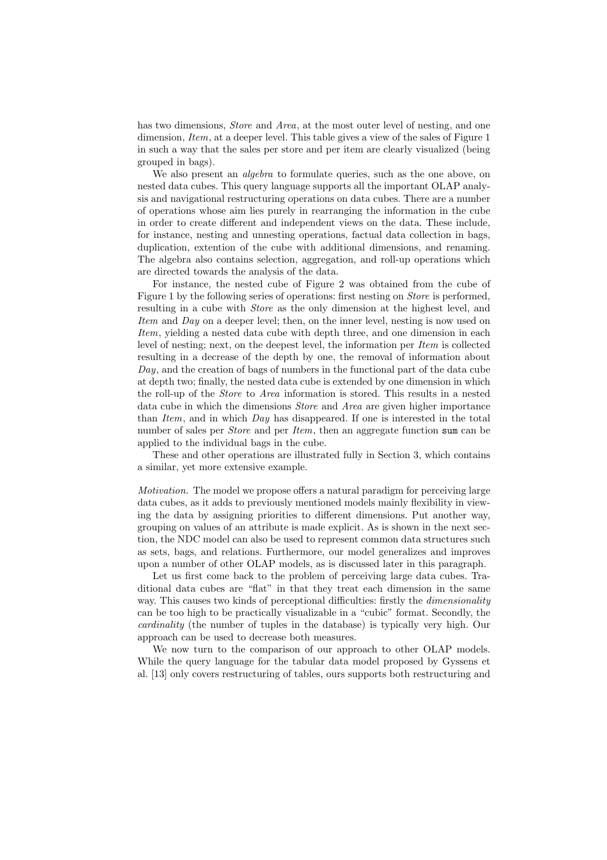has two dimensions, *Store* and *Area*, at the most outer level of nesting, and one dimension, *Item*, at a deeper level. This table gives a view of the sales of Figure 1 in such a way that the sales per store and per item are clearly visualized (being grouped in bags).

We also present an *algebra* to formulate queries, such as the one above, on nested data cubes. This query language supports all the important OLAP analysis and navigational restructuring operations on data cubes. There are a number of operations whose aim lies purely in rearranging the information in the cube in order to create different and independent views on the data. These include, for instance, nesting and unnesting operations, factual data collection in bags, duplication, extention of the cube with additional dimensions, and renaming. The algebra also contains selection, aggregation, and roll-up operations which are directed towards the analysis of the data.

For instance, the nested cube of Figure 2 was obtained from the cube of Figure 1 by the following series of operations: first nesting on *Store* is performed, resulting in a cube with *Store* as the only dimension at the highest level, and *Item* and *Day* on a deeper level; then, on the inner level, nesting is now used on *Item*, yielding a nested data cube with depth three, and one dimension in each level of nesting; next, on the deepest level, the information per *Item* is collected resulting in a decrease of the depth by one, the removal of information about *Day*, and the creation of bags of numbers in the functional part of the data cube at depth two; finally, the nested data cube is extended by one dimension in which the roll-up of the *Store* to *Area* information is stored. This results in a nested data cube in which the dimensions *Store* and *Area* are given higher importance than *Item*, and in which *Day* has disappeared. If one is interested in the total number of sales per *Store* and per *Item*, then an aggregate function sum can be applied to the individual bags in the cube.

These and other operations are illustrated fully in Section 3, which contains a similar, yet more extensive example.

*Motivation.* The model we propose offers a natural paradigm for perceiving large data cubes, as it adds to previously mentioned models mainly flexibility in viewing the data by assigning priorities to different dimensions. Put another way, grouping on values of an attribute is made explicit. As is shown in the next section, the NDC model can also be used to represent common data structures such as sets, bags, and relations. Furthermore, our model generalizes and improves upon a number of other OLAP models, as is discussed later in this paragraph.

Let us first come back to the problem of perceiving large data cubes. Traditional data cubes are "flat" in that they treat each dimension in the same way. This causes two kinds of perceptional difficulties: firstly the *dimensionality* can be too high to be practically visualizable in a "cubic" format. Secondly, the *cardinality* (the number of tuples in the database) is typically very high. Our approach can be used to decrease both measures.

We now turn to the comparison of our approach to other OLAP models. While the query language for the tabular data model proposed by Gyssens et al. [13] only covers restructuring of tables, ours supports both restructuring and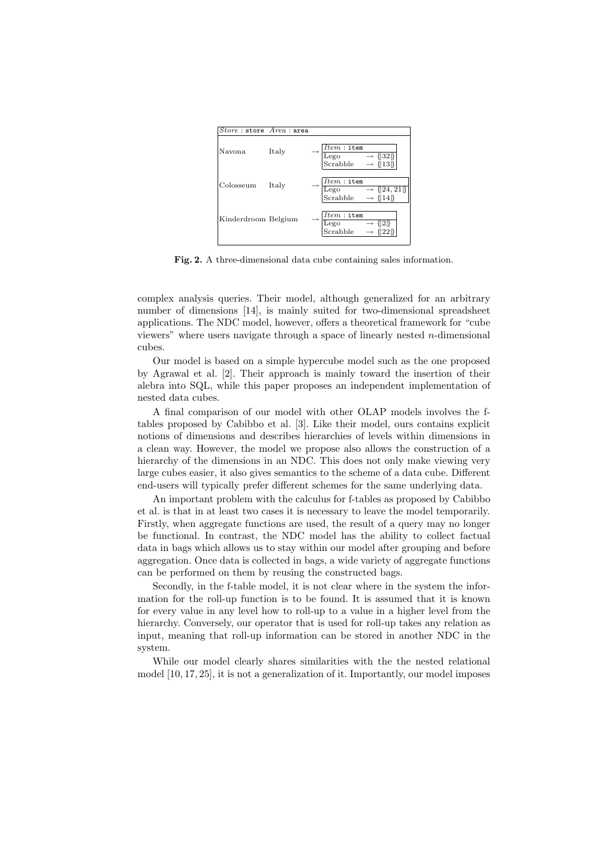

**Fig. 2.** A three-dimensional data cube containing sales information.

complex analysis queries. Their model, although generalized for an arbitrary number of dimensions [14], is mainly suited for two-dimensional spreadsheet applications. The NDC model, however, offers a theoretical framework for "cube viewers" where users navigate through a space of linearly nested  $n$ -dimensional cubes.

Our model is based on a simple hypercube model such as the one proposed by Agrawal et al. [2]. Their approach is mainly toward the insertion of their alebra into SQL, while this paper proposes an independent implementation of nested data cubes.

A final comparison of our model with other OLAP models involves the ftables proposed by Cabibbo et al. [3]. Like their model, ours contains explicit notions of dimensions and describes hierarchies of levels within dimensions in a clean way. However, the model we propose also allows the construction of a hierarchy of the dimensions in an NDC. This does not only make viewing very large cubes easier, it also gives semantics to the scheme of a data cube. Different end-users will typically prefer different schemes for the same underlying data.

An important problem with the calculus for f-tables as proposed by Cabibbo et al. is that in at least two cases it is necessary to leave the model temporarily. Firstly, when aggregate functions are used, the result of a query may no longer be functional. In contrast, the NDC model has the ability to collect factual data in bags which allows us to stay within our model after grouping and before aggregation. Once data is collected in bags, a wide variety of aggregate functions can be performed on them by reusing the constructed bags.

Secondly, in the f-table model, it is not clear where in the system the information for the roll-up function is to be found. It is assumed that it is known for every value in any level how to roll-up to a value in a higher level from the hierarchy. Conversely, our operator that is used for roll-up takes any relation as input, meaning that roll-up information can be stored in another NDC in the system.

While our model clearly shares similarities with the the nested relational model [10, 17, 25], it is not a generalization of it. Importantly, our model imposes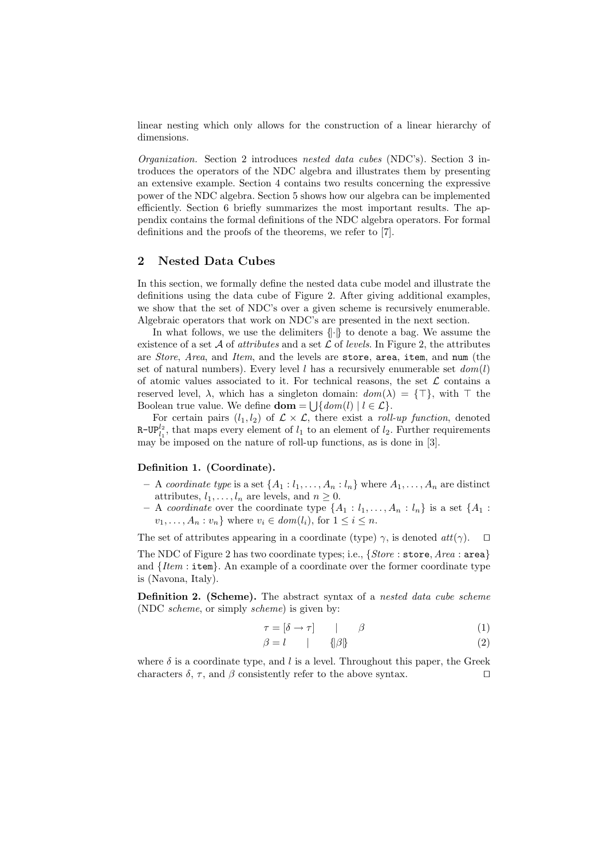linear nesting which only allows for the construction of a linear hierarchy of dimensions.

*Organization.* Section 2 introduces *nested data cubes* (NDC's). Section 3 introduces the operators of the NDC algebra and illustrates them by presenting an extensive example. Section 4 contains two results concerning the expressive power of the NDC algebra. Section 5 shows how our algebra can be implemented efficiently. Section 6 briefly summarizes the most important results. The appendix contains the formal definitions of the NDC algebra operators. For formal definitions and the proofs of the theorems, we refer to [7].

# **2 Nested Data Cubes**

In this section, we formally define the nested data cube model and illustrate the definitions using the data cube of Figure 2. After giving additional examples, we show that the set of NDC's over a given scheme is recursively enumerable. Algebraic operators that work on NDC's are presented in the next section.

In what follows, we use the delimiters  $\{\cdot\}$  to denote a bag. We assume the existence of a set  $A$  of *attributes* and a set  $C$  of *levels*. In Figure 2, the attributes are *Store*, *Area*, and *Item*, and the levels are store, area, item, and num (the set of natural numbers). Every level  $l$  has a recursively enumerable set  $dom(l)$ of atomic values associated to it. For technical reasons, the set  $\mathcal L$  contains a reserved level,  $\lambda$ , which has a singleton domain:  $dom(\lambda) = {\top}$ , with  $\top$  the Boolean true value. We define **dom** =  $\bigcup \{ dom(l) | l \in \mathcal{L} \}.$ 

For certain pairs  $(l_1, l_2)$  of  $\mathcal{L} \times \mathcal{L}$ , there exist a *roll-up function*, denoted R-UP $_{l_1}^{l_2}$ , that maps every element of  $l_1$  to an element of  $l_2$ . Further requirements may be imposed on the nature of roll-up functions, as is done in [3].

# **Definition 1. (Coordinate).**

- $-$  A *coordinate type* is a set  $\{A_1 : l_1, \ldots, A_n : l_n\}$  where  $A_1, \ldots, A_n$  are distinct attributes,  $l_1, \ldots, l_n$  are levels, and  $n \geq 0$ .
- $-$  A *coordinate* over the coordinate type  $\{A_1 : l_1, \ldots, A_n : l_n\}$  is a set  $\{A_1 : l_1, \ldots, A_n : l_n\}$  $v_1,\ldots,A_n:v_n\}$  where  $v_i \in dom(l_i)$ , for  $1 \leq i \leq n$ .

The set of attributes appearing in a coordinate (type)  $\gamma$ , is denoted  $\text{att}(\gamma)$ .  $\Box$ 

The NDC of Figure 2 has two coordinate types; i.e., {*Store* : store, *Area* : area} and {*Item* : item}. An example of a coordinate over the former coordinate type is (Navona, Italy).

**Definition 2. (Scheme).** The abstract syntax of a *nested data cube scheme* (NDC *scheme*, or simply *scheme*) is given by:

$$
\tau = [\delta \to \tau] \qquad | \qquad \beta \tag{1}
$$

$$
\beta = l \qquad | \qquad {\beta} {\beta} \tag{2}
$$

where  $\delta$  is a coordinate type, and l is a level. Throughout this paper, the Greek characters  $\delta$ ,  $\tau$ , and  $\beta$  consistently refer to the above syntax.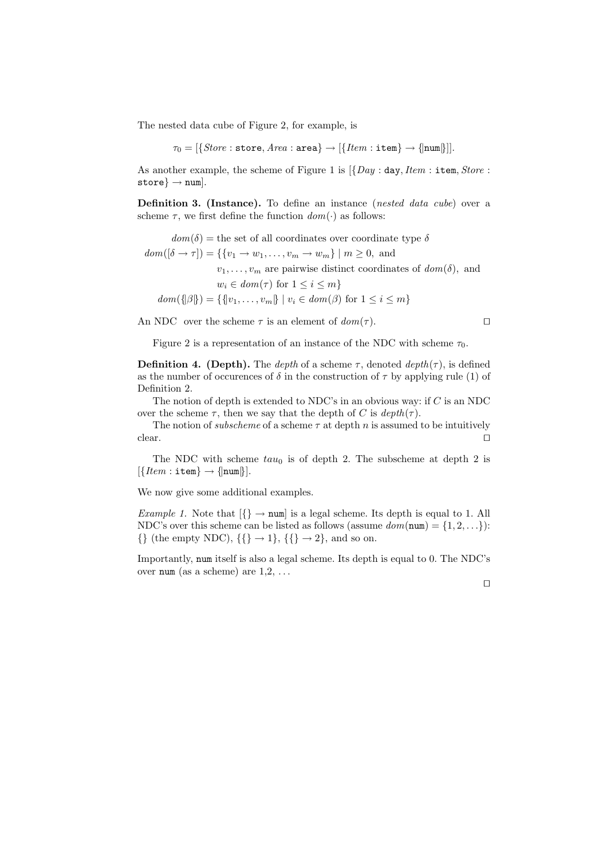The nested data cube of Figure 2, for example, is

 $\tau_0 = [\{Store : store, Area : area\} \rightarrow [\{Item : item\} \rightarrow \{num\}]].$ 

As another example, the scheme of Figure 1 is [{*Day* : day,*Item* : item, *Store* :  $\texttt{store} \} \rightarrow \texttt{num}.$ 

**Definition 3. (Instance).** To define an instance (*nested data cube*) over a scheme  $\tau$ , we first define the function  $dom(\cdot)$  as follows:

 $dom(\delta)$  = the set of all coordinates over coordinate type  $\delta$  $dom([\delta \to \tau]) = \{\{v_1 \to w_1, \ldots, v_m \to w_m\} \mid m \geq 0, \text{ and }$  $v_1, \ldots, v_m$  are pairwise distinct coordinates of  $dom(\delta)$ , and  $w_i \in dom(\tau)$  for  $1 \leq i \leq m$  $dom({\{\beta\}}) = {\{\{v_1, \ldots, v_m\} \mid v_i \in dom(\beta) \text{ for } 1 \leq i \leq m\}}$ 

An NDC over the scheme  $\tau$  is an element of  $dom(\tau)$ .

Figure 2 is a representation of an instance of the NDC with scheme  $\tau_0$ .

**Definition 4. (Depth).** The *depth* of a scheme  $\tau$ , denoted  $depth(\tau)$ , is defined as the number of occurences of  $\delta$  in the construction of  $\tau$  by applying rule (1) of Definition 2.

The notion of depth is extended to NDC's in an obvious way: if  $C$  is an NDC over the scheme  $\tau$ , then we say that the depth of C is  $depth(\tau)$ .

The notion of *subscheme* of a scheme  $\tau$  at depth n is assumed to be intuitively  $\Box$ clear.

The NDC with scheme  $tau_0$  is of depth 2. The subscheme at depth 2 is  $[\{Item : \texttt{item}\} \rightarrow \{\texttt{num}\}].$ 

We now give some additional examples.

*Example 1.* Note that  $\{\}\to \text{num}$  is a legal scheme. Its depth is equal to 1. All NDC's over this scheme can be listed as follows (assume  $dom(num) = \{1, 2, ...\}$ ):  $\{\}\$  (the empty NDC),  $\{\}\rightarrow 1\}$ ,  $\{\}\rightarrow 2\}$ , and so on.

Importantly, num itself is also a legal scheme. Its depth is equal to 0. The NDC's over num (as a scheme) are  $1,2,\ldots$ 

 $\Box$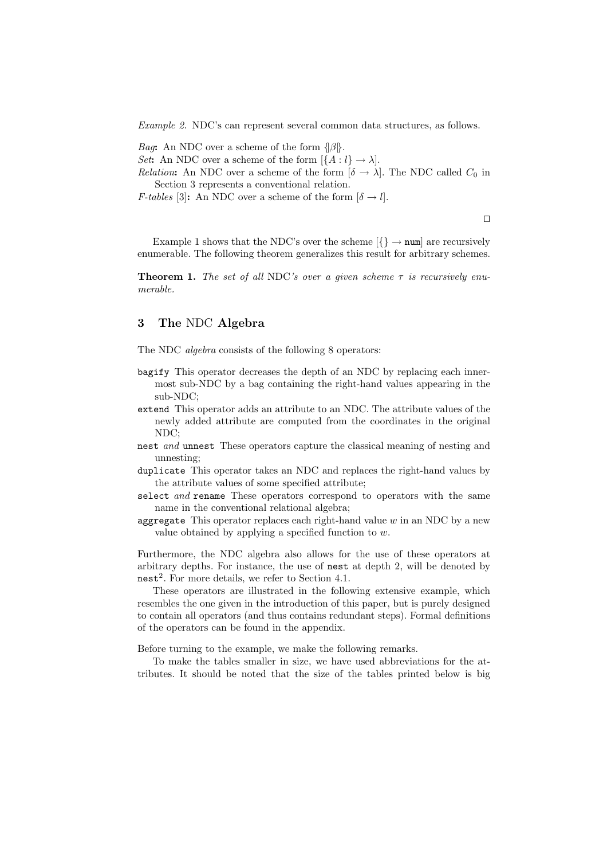*Example 2.* NDC's can represent several common data structures, as follows.

*Bag***:** An NDC over a scheme of the form  $\{\beta\}$ .

*Set***:** An NDC over a scheme of the form  $\left[\{A: l\} \rightarrow \lambda\right]$ .

*Relation*: An NDC over a scheme of the form  $\delta \rightarrow \lambda$ . The NDC called  $C_0$  in Section 3 represents a conventional relation.

*F-tables* [3]: An NDC over a scheme of the form  $[\delta \rightarrow l]$ .

 $\Box$ 

Example 1 shows that the NDC's over the scheme  $\{\}\rightarrow \text{num}$  are recursively enumerable. The following theorem generalizes this result for arbitrary schemes.

**Theorem 1.** *The set of all* NDC*'s over a given scheme*  $\tau$  *is recursively enumerable.*

# **3 The** NDC **Algebra**

The NDC *algebra* consists of the following 8 operators:

- bagify This operator decreases the depth of an NDC by replacing each innermost sub-NDC by a bag containing the right-hand values appearing in the sub-NDC;
- extend This operator adds an attribute to an NDC. The attribute values of the newly added attribute are computed from the coordinates in the original NDC;
- nest *and* unnest These operators capture the classical meaning of nesting and unnesting;
- duplicate This operator takes an NDC and replaces the right-hand values by the attribute values of some specified attribute;
- select *and* rename These operators correspond to operators with the same name in the conventional relational algebra;
- aggregate This operator replaces each right-hand value  $w$  in an NDC by a new value obtained by applying a specified function to  $w$ .

Furthermore, the NDC algebra also allows for the use of these operators at arbitrary depths. For instance, the use of nest at depth 2, will be denoted by  $nest<sup>2</sup>$ . For more details, we refer to Section 4.1.

These operators are illustrated in the following extensive example, which resembles the one given in the introduction of this paper, but is purely designed to contain all operators (and thus contains redundant steps). Formal definitions of the operators can be found in the appendix.

Before turning to the example, we make the following remarks.

To make the tables smaller in size, we have used abbreviations for the attributes. It should be noted that the size of the tables printed below is big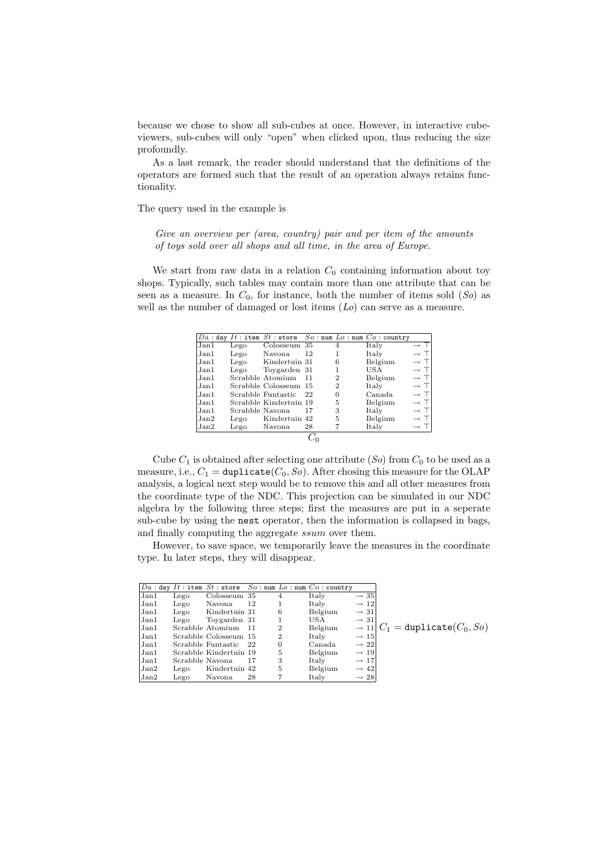because we chose to show all sub-cubes at once. However, in interactive cubeviewers, sub-cubes will only "open" when clicked upon, thus reducing the size profoundly.

As a last remark, the reader should understand that the definitions of the operators are formed such that the result of an operation always retains functionality.

The query used in the example is

*Give an overview per (area, country) pair and per item of the amounts of toys sold over all shops and all time, in the area of Europe.*

We start from raw data in a relation  $C_0$  containing information about toy shops. Typically, such tables may contain more than one attribute that can be seen as a measure. In  $C_0$ , for instance, both the number of items sold  $(So)$  as well as the number of damaged or lost items (*Lo*) can serve as a measure.

|       |                 |                        |    |                | $Da:$ day $It:$ item $St:$ store $So:$ num $Lo:$ num $Co:$ country |                 |
|-------|-----------------|------------------------|----|----------------|--------------------------------------------------------------------|-----------------|
| Jan1  | Lego            | Colosseum 35           |    | 4              | Italy                                                              | $\rightarrow$ T |
| Jan1  | Lego            | Navona                 | 12 |                | Italy                                                              | $\rightarrow$ T |
| Jan1  | Lego            | Kindertuin 31          |    | 6              | Belgium                                                            | $\rightarrow$ T |
| Jan1  | Lego            | Toygarden 31           |    |                | USA                                                                | $\rightarrow$ T |
| Jan1  |                 | Scrabble Atomium       | 11 | $\overline{2}$ | Belgium                                                            | $\rightarrow$ T |
| Jan1  |                 | Scrabble Colosseum 15  |    | 2              | Italy                                                              | $\rightarrow$ T |
| Jan1  |                 | Scrabble Funtastic     | 22 | $\Omega$       | Canada.                                                            | $\rightarrow$ T |
| Jan1. |                 | Scrabble Kindertuin 19 |    | 5              | Belgium                                                            | $\rightarrow$ T |
| Jan1  | Scrabble Navona |                        | 17 | 3              | Italy                                                              | $\rightarrow$ T |
| Jan2  | Lego            | Kindertuin 42          |    | 5              | Belgium                                                            | $\rightarrow$ T |
| Jan2  | Lego            | Navona                 | 28 |                | Italy                                                              | $\rightarrow$ T |
|       |                 |                        |    |                |                                                                    |                 |

Cube  $C_1$  is obtained after selecting one attribute  $(So)$  from  $C_0$  to be used as a measure, i.e.,  $C_1 = \text{dupiter}(C_0, So)$ . After chosing this measure for the OLAP analysis, a logical next step would be to remove this and all other measures from the coordinate type of the NDC. This projection can be simulated in our NDC algebra by the following three steps; first the measures are put in a seperate sub-cube by using the nest operator, then the information is collapsed in bags, and finally computing the aggregate ssum over them.

However, to save space, we temporarily leave the measures in the coordinate type. In later steps, they will disappear.

|      |                 |                        |     |                | $Da:$ day $It:$ item $St:$ store $So:$ num $Lo:$ num $Co:$ country |                  |                                                 |
|------|-----------------|------------------------|-----|----------------|--------------------------------------------------------------------|------------------|-------------------------------------------------|
| Jan1 | Lego            | Colosseum 35           |     | 4              | Italy                                                              | $\rightarrow$ 35 |                                                 |
| Jan1 | Lego            | Navona                 | 12  |                | Italy                                                              | $\rightarrow 12$ |                                                 |
| Jan1 | Lego            | Kindertuin 31          |     | 6              | Belgium                                                            | $\rightarrow$ 31 |                                                 |
| Jan1 | Lego            | Toygarden 31           |     |                | USA                                                                | $\rightarrow$ 31 |                                                 |
| Jan1 |                 | Scrabble Atomium       | -11 | $\overline{2}$ | Belgium                                                            |                  | $\rightarrow$ 11 $C_1$ = duplicate( $C_0$ , So) |
| Jan1 |                 | Scrabble Colosseum 15  |     | 2              | Italy                                                              | $\rightarrow 15$ |                                                 |
| Jan1 |                 | Scrabble Funtastic     | -22 | 0              | Canada                                                             | $\rightarrow$ 22 |                                                 |
| Jan1 |                 | Scrabble Kindertuin 19 |     | 5              | Belgium                                                            | $\rightarrow$ 19 |                                                 |
| Jan1 | Scrabble Navona |                        | 17  | 3              | Italy                                                              | $\rightarrow 17$ |                                                 |
| Jan2 | Lego            | Kindertuin 42          |     | 5              | Belgium                                                            | $\rightarrow$ 42 |                                                 |
| Jan2 | Lego            | Navona                 | 28  |                | Italy                                                              | $\rightarrow$ 28 |                                                 |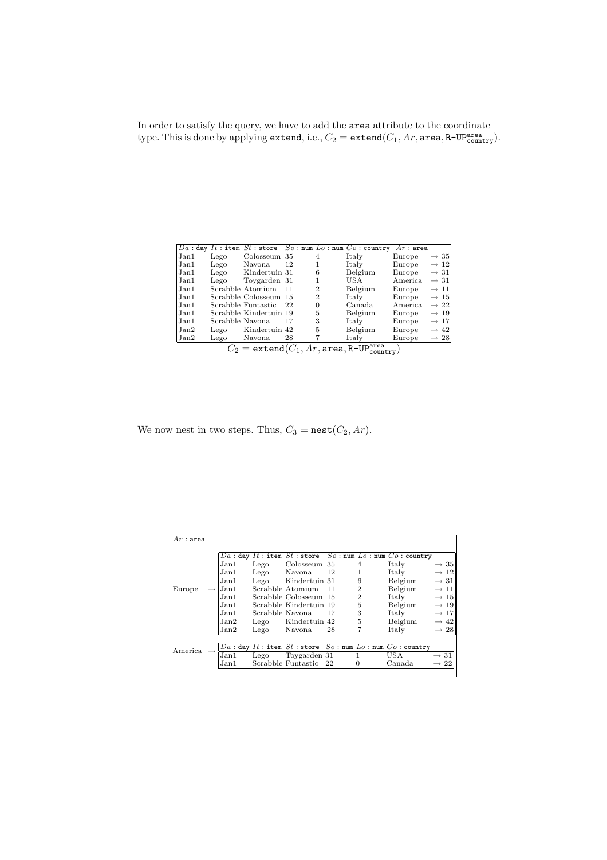In order to satisfy the query, we have to add the area attribute to the coordinate type. This is done by applying extend, i.e.,  $C_2 = \texttt{extend}(C_1, Ar, \texttt{area}, \texttt{R-UP}^{\texttt{area}}_{\texttt{countery}})$ .

|       |                                                                                                                                     |                        |     |                | $Da:$ day $It:$ item $St:$ store $So:$ num $Lo:$ num $Co:$ country | $Ar:$ area |                  |  |
|-------|-------------------------------------------------------------------------------------------------------------------------------------|------------------------|-----|----------------|--------------------------------------------------------------------|------------|------------------|--|
| Jan1  | Lego                                                                                                                                | Colosseum              | 35  |                | Italy                                                              | Europe     | $\rightarrow$ 35 |  |
| Jan1  | Lego                                                                                                                                | Navona.                | 12  |                | Italy                                                              | Europe     | $\rightarrow$ 12 |  |
| Jan1  | Lego                                                                                                                                | Kindertuin 31          |     | 6              | Belgium                                                            | Europe     | $\rightarrow$ 31 |  |
| Jan1  | Lego                                                                                                                                | Toygarden 31           |     |                | USA                                                                | America.   | $\rightarrow 31$ |  |
| Jan1  |                                                                                                                                     | Scrabble Atomium       | 11  | $\overline{2}$ | Belgium                                                            | Europe     | $\rightarrow$ 11 |  |
| Jan1. |                                                                                                                                     | Scrabble Colosseum     | -15 | 2              | Italy                                                              | Europe     | $\rightarrow$ 15 |  |
| Jan1. |                                                                                                                                     | Scrabble Funtastic     | -22 | 0              | Canada                                                             | America.   | $\rightarrow 22$ |  |
| Jan1  |                                                                                                                                     | Scrabble Kindertuin 19 |     | 5              | Belgium                                                            | Europe     | $\rightarrow$ 19 |  |
| Jan1. | Scrabble Navona                                                                                                                     |                        | 17  | 3              | Italy                                                              | Europe     | $\rightarrow$ 17 |  |
| Jan2  | Lego                                                                                                                                | Kindertuin 42          |     | 5              | Belgium                                                            | Europe     | $\rightarrow$ 42 |  |
| Jan2  | Lego                                                                                                                                | Navona                 | 28  |                | Italy                                                              | Europe     | $\rightarrow 28$ |  |
|       | $C_2 = \texttt{extend}(\overline{C_1}, \overline{Ar}, \overline{\texttt{area}}, \texttt{R-UP}^{\texttt{area}}_{\texttt{countery}})$ |                        |     |                |                                                                    |            |                  |  |

We now nest in two steps. Thus,  $C_3 = \texttt{nest}(C_2, Ar)$ .

| $Ar:$ area |      |       |                       |                        |                |                |                                                                              |                  |
|------------|------|-------|-----------------------|------------------------|----------------|----------------|------------------------------------------------------------------------------|------------------|
|            |      |       |                       |                        |                |                | $Da:$ day $It:$ item $St:$ store $So:$ num $Lo:$ num $Co:$ country           |                  |
|            |      | Jan1  | Lego                  | Colosseum 35           |                | $\overline{4}$ | Italy                                                                        | $\rightarrow$ 35 |
|            |      | Jan1  | Lego                  | Navona                 | 12             | 1              | Italy                                                                        | $\rightarrow 12$ |
|            |      | Jan1  | Lego                  | Kindertuin 31          |                | 6              | Belgium                                                                      | $\rightarrow$ 31 |
| Europe     |      | Jan1  |                       | Scrabble Atomium       | 11             | $\overline{2}$ | Belgium                                                                      | $\rightarrow$ 11 |
|            | Jan1 |       | Scrabble Colosseum 15 |                        | $\overline{2}$ | Italy          | $\rightarrow 15$                                                             |                  |
|            |      | Jan1. |                       | Scrabble Kindertuin 19 |                | 5              | Belgium                                                                      | $\rightarrow 19$ |
|            |      | Jan1. | Scrabble Navona       |                        | 17             | 3              | Italy                                                                        | $\rightarrow 17$ |
|            |      | Jan2  | Lego                  | Kindertuin 42          |                | 5              | Belgium                                                                      | $\rightarrow$ 42 |
|            |      | Jan2  | Lego                  | Navona                 | 28             |                | Italy                                                                        | $\rightarrow 28$ |
|            |      |       |                       |                        |                |                |                                                                              |                  |
|            |      |       |                       |                        |                |                | $Da:$ day $It:$ item $St:$ store $\overline{So:$ num $Lo:$ num $Co:$ country |                  |
| America    |      | Jan 1 | Lego                  | Toygarden 31           |                |                | USA                                                                          | $\rightarrow$ 31 |
|            |      | Jan1  |                       | Scrabble Funtastic     | 22             | 0              | Canada                                                                       | $\rightarrow 22$ |
|            |      |       |                       |                        |                |                |                                                                              |                  |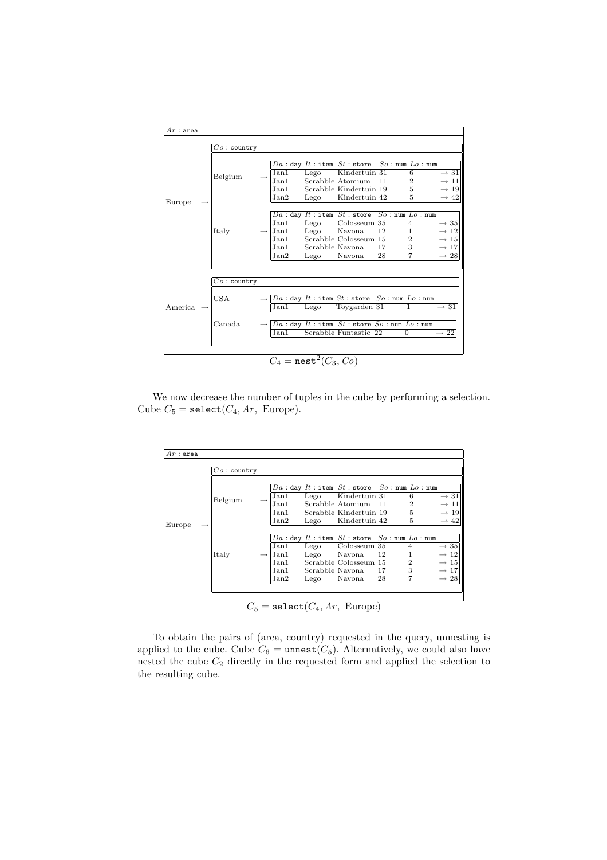

We now decrease the number of tuples in the cube by performing a selection. Cube  $C_5$  = select( $C_4$ ,  $Ar$ , Europe).

| $Ar:$ area |               |               |      |      |                                                      |    |                |                  |  |
|------------|---------------|---------------|------|------|------------------------------------------------------|----|----------------|------------------|--|
|            | $Co:$ country |               |      |      |                                                      |    |                |                  |  |
|            |               |               |      |      | $Da:$ day $It:$ item $St:$ store $So:$ num $Lo:$ num |    |                |                  |  |
|            | Belgium       |               | Jan1 | Lego | Kindertuin 31                                        |    | 6              | $\rightarrow$ 31 |  |
|            |               |               | Jan1 |      | Scrabble Atomium                                     | 11 | 2              | $\rightarrow$ 11 |  |
|            |               |               | Jan1 |      | Scrabble Kindertuin 19                               |    | 5              | $\rightarrow$ 19 |  |
|            |               |               | Jan2 | Lego | Kindertuin 42                                        |    | 5              | $\rightarrow$ 42 |  |
| Europe     |               |               |      |      |                                                      |    |                |                  |  |
|            |               |               |      |      | $Da:$ day $It:$ item $St:$ store $So:$ num $Lo:$ num |    |                |                  |  |
|            |               |               | Jan1 | Lego | Colosseum 35                                         |    | 4              | $\rightarrow$ 35 |  |
|            | Italy         | $\rightarrow$ | Jan1 | Lego | Navona                                               | 12 |                | $\rightarrow$ 12 |  |
|            |               |               | Jan1 |      | Scrabble Colosseum 15                                |    | $\overline{2}$ | $\rightarrow 15$ |  |
|            |               |               | Jan1 |      | Scrabble Navona                                      | 17 | 3              | $\rightarrow 17$ |  |
|            |               |               | Jan2 | Lego | Navona                                               | 28 | 7              | $\rightarrow 28$ |  |
|            |               |               |      |      |                                                      |    |                |                  |  |
|            |               |               |      |      |                                                      |    |                |                  |  |

 $C_5 = \text{select}(C_4, Ar, Europe)$ 

To obtain the pairs of (area, country) requested in the query, unnesting is applied to the cube. Cube  $C_6 = \text{unnest}(C_5)$ . Alternatively, we could also have nested the cube  $C_2$  directly in the requested form and applied the selection to the resulting cube.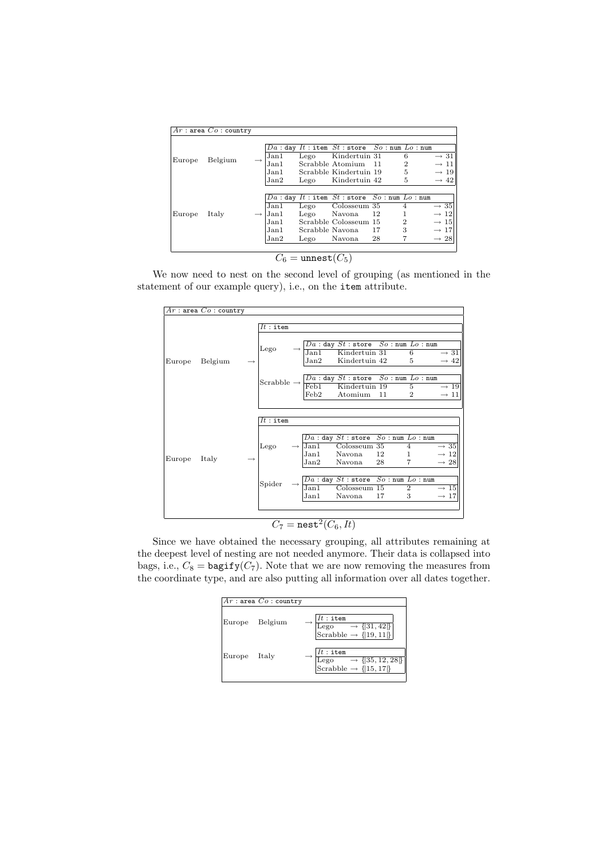|        | $Ar:$ area $Co:$ country |                                      |                                         |                                                                                                                                      |                                                         |                               |                                                                                                  |
|--------|--------------------------|--------------------------------------|-----------------------------------------|--------------------------------------------------------------------------------------------------------------------------------------|---------------------------------------------------------|-------------------------------|--------------------------------------------------------------------------------------------------|
| Europe | Belgium                  | Jan1<br>Jan1<br>Jan1<br>Jan2         | Lego<br>Lego                            | $Da:$ day $It:$ item $St:$ store $So:$ num $Lo:$ num<br>Kindertuin 31<br>Scrabble Atomium<br>Scrabble Kindertuin 19<br>Kindertuin 42 | -11                                                     | 6<br>$\overline{2}$<br>5<br>5 | $\rightarrow$ 31<br>$\rightarrow$ 11<br>$\rightarrow$ 19<br>$\rightarrow$ 42                     |
| Europe | Italy                    | Jan1<br>Jan1<br>Jan1<br>Jan1<br>Jan2 | Lego<br>Lego<br>Scrabble Navona<br>Lego | $Da:$ day $It:$ item $St:$ store<br>Colosseum 35<br>Navona<br>Scrabble Colosseum 15<br>Navona                                        | $So: \texttt{num}$ $Lo: \texttt{num}$<br>12<br>17<br>28 | $\overline{2}$<br>3           | $\rightarrow$ 35<br>$\rightarrow$ 12<br>$\rightarrow 15$<br>$\rightarrow$ 17<br>$\rightarrow 28$ |

 $C_6 = \text{unnest}(C_5)$ 

We now need to nest on the second level of grouping (as mentioned in the statement of our example query), i.e., on the item attribute.

|                   | $Ar$ : area $Co$ : country |                                                                                                     |                                            |                                                                                                                                                   |          |                                                  |                                                          |
|-------------------|----------------------------|-----------------------------------------------------------------------------------------------------|--------------------------------------------|---------------------------------------------------------------------------------------------------------------------------------------------------|----------|--------------------------------------------------|----------------------------------------------------------|
|                   |                            | $It:$ item                                                                                          |                                            |                                                                                                                                                   |          |                                                  |                                                          |
| Belgium<br>Europe |                            | $_{\rm Lego}$                                                                                       | Jan2                                       | $\rightarrow \frac{Da : \text{day } St : \text{store } So : \text{num } Lo : \text{num}}{\text{Jan1 } \text{ Kindertuin } 31}$ 6<br>Kindertuin 42 |          | 5                                                | $\rightarrow$ 31<br>$\rightarrow$ 42                     |
|                   |                            | Scrabble $\rightarrow \frac{Da : day St : store So : num Lo : num}{\text{Feb1}}$<br>Kindertuin 19 5 | Feb <sub>2</sub>                           | Atomium                                                                                                                                           | 11       | $\overline{2}$                                   | $\rightarrow$ 19<br>$\rightarrow$ 11                     |
|                   |                            | $It:$ item                                                                                          |                                            |                                                                                                                                                   |          |                                                  |                                                          |
| Italy<br>Europe   |                            | Lego                                                                                                | $\rightarrow$ Jan1<br>Jan1<br>Jan2         | $Da:$ day $\overline{St:}$ store $So:$ num $Lo:$ num<br>Colosseum 35<br>Navona<br>Navona                                                          | 12<br>28 | $\overline{4}$<br>$\mathbf{1}$<br>$\overline{7}$ | $\rightarrow$ 35<br>$\rightarrow$ 12<br>$\rightarrow$ 28 |
|                   |                            | Spider                                                                                              | Jan1                                       | $\frac{\overline{Da}: \text{day }St: \text{store } So: \text{num } Lo: \text{num}}{\text{Jan1}}$<br>Navona                                        | 17       | 3                                                | $\rightarrow 15$<br>$\rightarrow 17$                     |
|                   |                            |                                                                                                     | $\overline{C_7} = \texttt{nest}^2(C_6,It)$ |                                                                                                                                                   |          |                                                  |                                                          |

Since we have obtained the necessary grouping, all attributes remaining at the deepest level of nesting are not needed anymore. Their data is collapsed into bags, i.e.,  $C_8 =$  bagify( $C_7$ ). Note that we are now removing the measures from the coordinate type, and are also putting all information over all dates together.

|        | $Ar:$ area $Co:$ country |                                                                                  |
|--------|--------------------------|----------------------------------------------------------------------------------|
|        | Europe Belgium           | $It:$ item<br>Lego $\rightarrow$ {[31, 42]}<br>Scrabble $\rightarrow$ {[19, 11]} |
| Europe | Italy                    | $It:$ item<br>Lego $\rightarrow$ {35, 12, 28}<br>Scrabble $\rightarrow$ {15, 17} |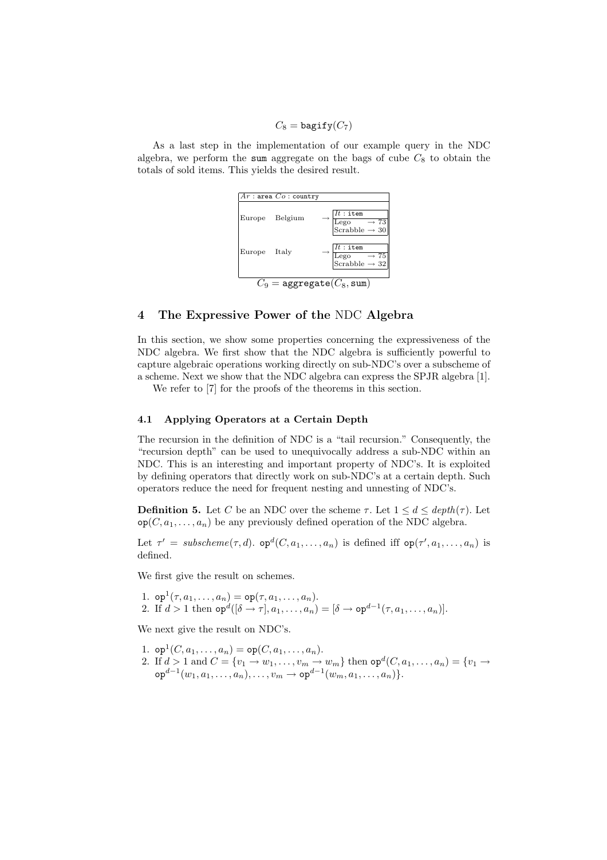$C_8 =$  bagify $(C_7)$ 

As a last step in the implementation of our example query in the NDC algebra, we perform the sum aggregate on the bags of cube  $C_8$  to obtain the totals of sold items. This yields the desired result.



### **4 The Expressive Power of the** NDC **Algebra**

In this section, we show some properties concerning the expressiveness of the NDC algebra. We first show that the NDC algebra is sufficiently powerful to capture algebraic operations working directly on sub-NDC's over a subscheme of a scheme. Next we show that the NDC algebra can express the SPJR algebra [1].

We refer to [7] for the proofs of the theorems in this section.

### **4.1 Applying Operators at a Certain Depth**

The recursion in the definition of NDC is a "tail recursion." Consequently, the "recursion depth" can be used to unequivocally address a sub-NDC within an NDC. This is an interesting and important property of NDC's. It is exploited by defining operators that directly work on sub-NDC's at a certain depth. Such operators reduce the need for frequent nesting and unnesting of NDC's.

**Definition 5.** Let C be an NDC over the scheme  $\tau$ . Let  $1 \leq d \leq depth(\tau)$ . Let  $\mathsf{op}(C, a_1, \ldots, a_n)$  be any previously defined operation of the NDC algebra.

Let  $\tau' = \textit{subscheme}(\tau, d)$ .  $\textit{op}^d(C, a_1, \ldots, a_n)$  is defined iff  $\textit{op}(\tau', a_1, \ldots, a_n)$  is defined.

We first give the result on schemes.

1. op<sup>1</sup> $(\tau, a_1, \ldots, a_n) =$  op $(\tau, a_1, \ldots, a_n)$ . 2. If  $d > 1$  then  $\text{op}^d([\delta \to \tau], a_1, \ldots, a_n) = [\delta \to \text{op}^{d-1}(\tau, a_1, \ldots, a_n)].$ 

We next give the result on NDC's.

- 1. op<sup>1</sup> $(C, a_1, \ldots, a_n) =$  op $(C, a_1, \ldots, a_n)$ .
- 2. If  $d > 1$  and  $C = \{v_1 \rightarrow w_1, \ldots, v_m \rightarrow w_m\}$  then  $op^d(C, a_1, \ldots, a_n) = \{v_1 \rightarrow w_1, \ldots, v_m\}$  $\texttt{op}^{d-1}(w_1, a_1, \ldots, a_n), \ldots, v_m \to \texttt{op}^{d-1}(w_m, a_1, \ldots, a_n)\}.$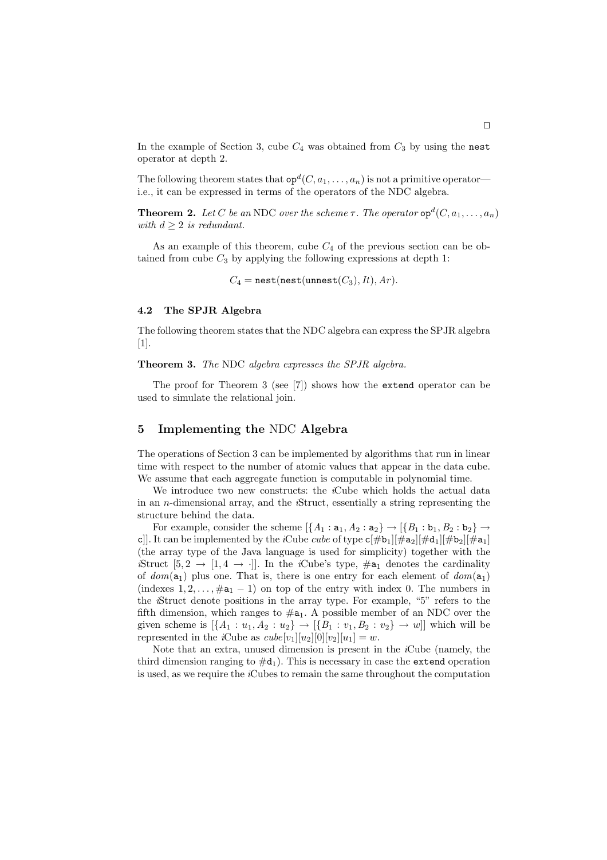In the example of Section 3, cube  $C_4$  was obtained from  $C_3$  by using the nest operator at depth 2.

The following theorem states that  $\mathsf{op}^d(C, a_1, \ldots, a_n)$  is not a primitive operator i.e., it can be expressed in terms of the operators of the NDC algebra.

**Theorem 2.** *Let* C *be an* NDC *over the scheme*  $\tau$ *. The operator*  $op^d(C, a_1, \ldots, a_n)$ *with*  $d \geq 2$  *is redundant.* 

As an example of this theorem, cube  $C_4$  of the previous section can be obtained from cube  $C_3$  by applying the following expressions at depth 1:

 $C_4$  = nest(nest(unnest( $C_3$ ),  $It$ ),  $Ar$ ).

### **4.2 The SPJR Algebra**

The following theorem states that the NDC algebra can express the SPJR algebra [1].

**Theorem 3.** *The* NDC *algebra expresses the SPJR algebra.*

The proof for Theorem 3 (see [7]) shows how the extend operator can be used to simulate the relational join.

# **5 Implementing the** NDC **Algebra**

The operations of Section 3 can be implemented by algorithms that run in linear time with respect to the number of atomic values that appear in the data cube. We assume that each aggregate function is computable in polynomial time.

We introduce two new constructs: the *i*Cube which holds the actual data in an n-dimensional array, and the *i*Struct, essentially a string representing the structure behind the data.

For example, consider the scheme  $\{A_1 : a_1, A_2 : a_2\} \rightarrow \{B_1 : b_1, B_2 : b_2\} \rightarrow$ c]]. It can be implemented by the *i*Cube *cube* of type  $c[\#b_1][\#a_2][\#d_1][\#b_2][\#a_1]$ (the array type of the Java language is used for simplicity) together with the *i*Struct  $[5, 2 \rightarrow [1, 4 \rightarrow \cdot]]$ . In the *i*Cube's type,  $\#a_1$  denotes the cardinality of  $dom(a_1)$  plus one. That is, there is one entry for each element of  $dom(a_1)$ (indexes  $1, 2, \ldots, \#a_1 - 1$ ) on top of the entry with index 0. The numbers in the *i*Struct denote positions in the array type. For example, "5" refers to the fifth dimension, which ranges to  $\#a_1$ . A possible member of an NDC over the given scheme is  $[\{A_1 : u_1, A_2 : u_2\} \to [\{B_1 : v_1, B_2 : v_2\} \to w]]$  which will be represented in the *i*Cube as  $cube[v_1][u_2][0][v_2][u_1] = w$ .

Note that an extra, unused dimension is present in the *i*Cube (namely, the third dimension ranging to  $\#d_1$ ). This is necessary in case the extend operation is used, as we require the *i*Cubes to remain the same throughout the computation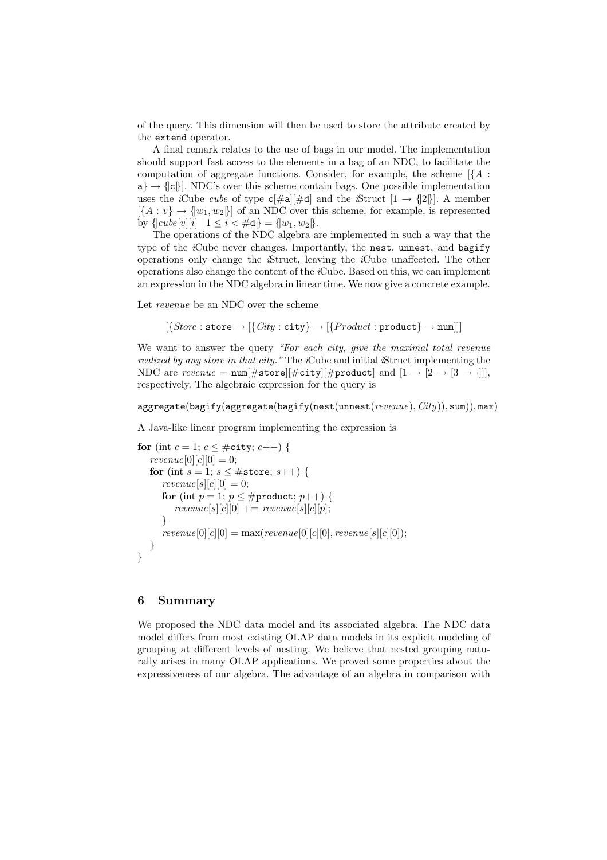of the query. This dimension will then be used to store the attribute created by the extend operator.

A final remark relates to the use of bags in our model. The implementation should support fast access to the elements in a bag of an NDC, to facilitate the computation of aggregate functions. Consider, for example, the scheme  $[\{A :$  $a \rightarrow |\{c\}|$ . NDC's over this scheme contain bags. One possible implementation uses the *i*Cube *cube* of type  $c[\#a][\#d]$  and the *i*Struct  $[1 \rightarrow \{2\}]$ . A member  $[\{A : v\} \rightarrow \{w_1, w_2\}]$  of an NDC over this scheme, for example, is represented by  $\{ |cube[v][i] | 1 \le i \le \#d \} = \{ |w_1, w_2| \}.$ 

The operations of the NDC algebra are implemented in such a way that the type of the *i*Cube never changes. Importantly, the nest, unnest, and bagify operations only change the *i*Struct, leaving the *i*Cube unaffected. The other operations also change the content of the *i*Cube. Based on this, we can implement an expression in the NDC algebra in linear time. We now give a concrete example.

Let *revenue* be an NDC over the scheme

 $[\{Store:store \rightarrow [\{City:city\} \rightarrow [\{Product:product\} \rightarrow num]]]$ 

We want to answer the query *"For each city, give the maximal total revenue realized by any store in that city."* The *i*Cube and initial *i*Struct implementing the NDC are *revenue* =  $\text{num}[\# \text{store}][\# \text{city}][\# \text{product}]$  and  $[1 \rightarrow [2 \rightarrow [3 \rightarrow \cdot]]],$ respectively. The algebraic expression for the query is

```
aggregate(bagify(aggregate(bagify(nest(unnest(revenue), City)), sum)), max)
```
A Java-like linear program implementing the expression is

```
for (int c = 1; c \leq #city; c++) {
  revenue[0][c][0] = 0;for (int s = 1; s \leq #store; s++) {
     revenue[s][c][0] = 0;for (int p = 1; p \leq #product; p++) {
        revenue[s][c][0] += revenue[s][c][p];}
     revenue[0][c][0] = max(revenue[0][c][0], revenue[s][c][0]);}
}
```
# **6 Summary**

We proposed the NDC data model and its associated algebra. The NDC data model differs from most existing OLAP data models in its explicit modeling of grouping at different levels of nesting. We believe that nested grouping naturally arises in many OLAP applications. We proved some properties about the expressiveness of our algebra. The advantage of an algebra in comparison with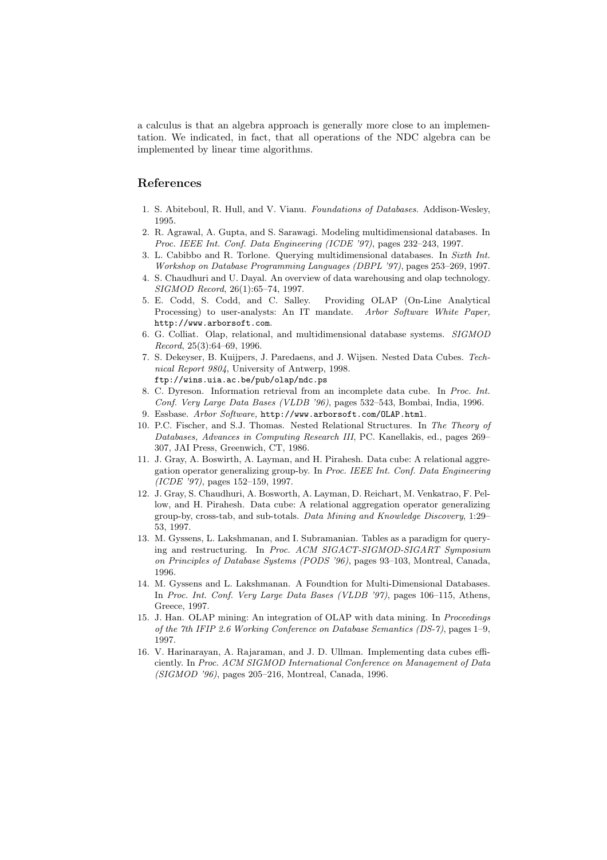a calculus is that an algebra approach is generally more close to an implementation. We indicated, in fact, that all operations of the NDC algebra can be implemented by linear time algorithms.

# **References**

- 1. S. Abiteboul, R. Hull, and V. Vianu. Foundations of Databases. Addison-Wesley, 1995.
- 2. R. Agrawal, A. Gupta, and S. Sarawagi. Modeling multidimensional databases. In Proc. IEEE Int. Conf. Data Engineering (ICDE '97), pages 232–243, 1997.
- 3. L. Cabibbo and R. Torlone. Querying multidimensional databases. In Sixth Int. Workshop on Database Programming Languages (DBPL '97), pages 253–269, 1997.
- 4. S. Chaudhuri and U. Dayal. An overview of data warehousing and olap technology. SIGMOD Record, 26(1):65–74, 1997.
- 5. E. Codd, S. Codd, and C. Salley. Providing OLAP (On-Line Analytical Processing) to user-analysts: An IT mandate. Arbor Software White Paper, http://www.arborsoft.com.
- 6. G. Colliat. Olap, relational, and multidimensional database systems. SIGMOD Record, 25(3):64–69, 1996.
- 7. S. Dekeyser, B. Kuijpers, J. Paredaens, and J. Wijsen. Nested Data Cubes. Technical Report 9804, University of Antwerp, 1998. ftp://wins.uia.ac.be/pub/olap/ndc.ps
- 8. C. Dyreson. Information retrieval from an incomplete data cube. In Proc. Int. Conf. Very Large Data Bases (VLDB '96), pages 532–543, Bombai, India, 1996.
- 9. Essbase. Arbor Software, http://www.arborsoft.com/OLAP.html.
- 10. P.C. Fischer, and S.J. Thomas. Nested Relational Structures. In The Theory of Databases, Advances in Computing Research III, PC. Kanellakis, ed., pages 269– 307, JAI Press, Greenwich, CT, 1986.
- 11. J. Gray, A. Boswirth, A. Layman, and H. Pirahesh. Data cube: A relational aggregation operator generalizing group-by. In Proc. IEEE Int. Conf. Data Engineering (ICDE '97), pages 152–159, 1997.
- 12. J. Gray, S. Chaudhuri, A. Bosworth, A. Layman, D. Reichart, M. Venkatrao, F. Pellow, and H. Pirahesh. Data cube: A relational aggregation operator generalizing group-by, cross-tab, and sub-totals. Data Mining and Knowledge Discovery, 1:29– 53, 1997.
- 13. M. Gyssens, L. Lakshmanan, and I. Subramanian. Tables as a paradigm for querying and restructuring. In Proc. ACM SIGACT-SIGMOD-SIGART Symposium on Principles of Database Systems (PODS '96), pages 93–103, Montreal, Canada, 1996.
- 14. M. Gyssens and L. Lakshmanan. A Foundtion for Multi-Dimensional Databases. In Proc. Int. Conf. Very Large Data Bases (VLDB '97), pages 106–115, Athens, Greece, 1997.
- 15. J. Han. OLAP mining: An integration of OLAP with data mining. In Proceedings of the 7th IFIP 2.6 Working Conference on Database Semantics (DS-7), pages 1–9, 1997.
- 16. V. Harinarayan, A. Rajaraman, and J. D. Ullman. Implementing data cubes efficiently. In Proc. ACM SIGMOD International Conference on Management of Data (SIGMOD '96), pages 205–216, Montreal, Canada, 1996.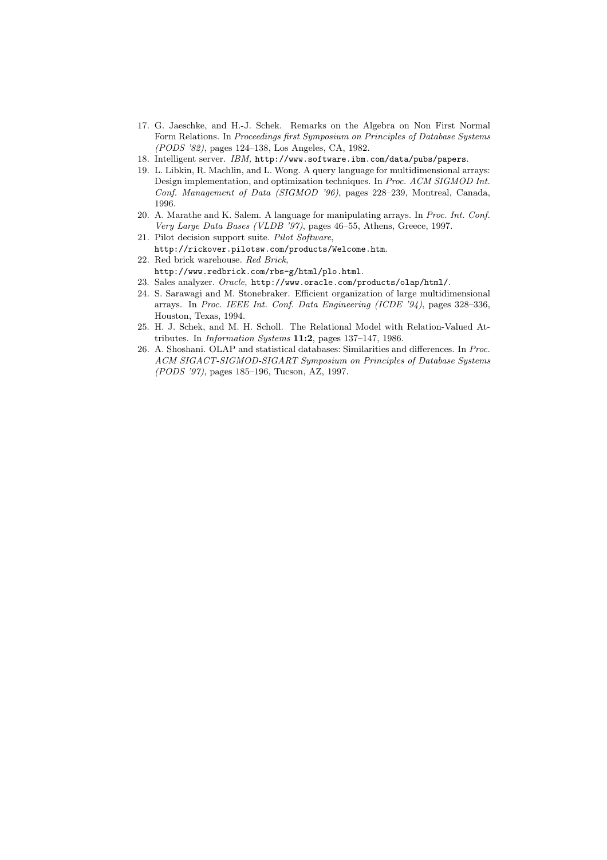- 17. G. Jaeschke, and H.-J. Schek. Remarks on the Algebra on Non First Normal Form Relations. In Proceedings first Symposium on Principles of Database Systems (PODS '82), pages 124–138, Los Angeles, CA, 1982.
- 18. Intelligent server. IBM, http://www.software.ibm.com/data/pubs/papers.
- 19. L. Libkin, R. Machlin, and L. Wong. A query language for multidimensional arrays: Design implementation, and optimization techniques. In Proc. ACM SIGMOD Int. Conf. Management of Data (SIGMOD '96), pages 228–239, Montreal, Canada, 1996.
- 20. A. Marathe and K. Salem. A language for manipulating arrays. In Proc. Int. Conf. Very Large Data Bases (VLDB '97), pages 46–55, Athens, Greece, 1997.
- 21. Pilot decision support suite. Pilot Software,
- http://rickover.pilotsw.com/products/Welcome.htm.
- 22. Red brick warehouse. Red Brick, http://www.redbrick.com/rbs-g/html/plo.html.
- 23. Sales analyzer. Oracle, http://www.oracle.com/products/olap/html/.
- 24. S. Sarawagi and M. Stonebraker. Efficient organization of large multidimensional arrays. In Proc. IEEE Int. Conf. Data Engineering (ICDE '94), pages 328–336, Houston, Texas, 1994.
- 25. H. J. Schek, and M. H. Scholl. The Relational Model with Relation-Valued Attributes. In Information Systems **11:2**, pages 137–147, 1986.
- 26. A. Shoshani. OLAP and statistical databases: Similarities and differences. In Proc. ACM SIGACT-SIGMOD-SIGART Symposium on Principles of Database Systems (PODS '97), pages 185–196, Tucson, AZ, 1997.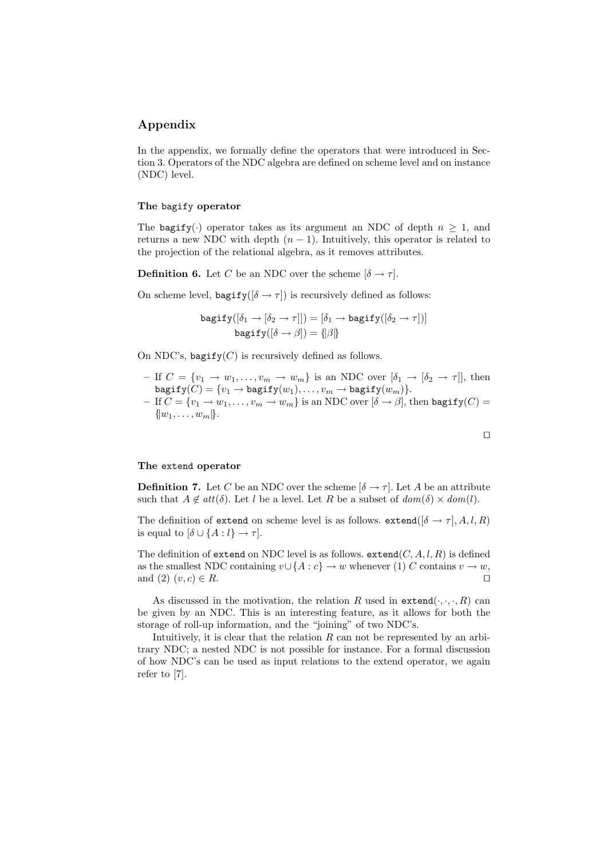# **Appendix**

In the appendix, we formally define the operators that were introduced in Section 3. Operators of the NDC algebra are defined on scheme level and on instance (NDC) level.

### **The** bagify **operator**

The bagify(·) operator takes as its argument an NDC of depth  $n \geq 1$ , and returns a new NDC with depth  $(n - 1)$ . Intuitively, this operator is related to the projection of the relational algebra, as it removes attributes.

**Definition 6.** Let C be an NDC over the scheme  $[\delta \rightarrow \tau]$ .

On scheme level,  $\text{bagify}([\delta \rightarrow \tau])$  is recursively defined as follows:

$$
\begin{aligned} \texttt{bagify}([\delta_1\rightarrow [\delta_2\rightarrow \tau]])&=[\delta_1\rightarrow \texttt{bagify}([\delta_2\rightarrow \tau])]\\ \texttt{bagify}([\delta\rightarrow \beta])&=\{\beta\}\end{aligned}
$$

On NDC's, bagify $(C)$  is recursively defined as follows.

- **–** If  $C = \{v_1 \rightarrow w_1, \ldots, v_m \rightarrow w_m\}$  is an NDC over  $[\delta_1 \rightarrow [\delta_2 \rightarrow \tau]]$ , then  $\texttt{bagify}(\overset{.}{C})=\{v_1 \rightarrow \texttt{bagify}(w_1), \dots, v_m \rightarrow \texttt{bagify}(w_m)\}.$
- $-$  If  $C = \{v_1 \rightarrow w_1, \dots, v_m \rightarrow w_m\}$  is an NDC over  $[\delta \rightarrow \beta]$ , then bagify(C) =  $\{ |w_1,\ldots,w_m|\}.$

$$
\Box
$$

#### **The** extend **operator**

**Definition 7.** Let C be an NDC over the scheme  $[\delta \rightarrow \tau]$ . Let A be an attribute such that  $A \notin att(\delta)$ . Let l be a level. Let R be a subset of  $dom(\delta) \times dom(l)$ .

The definition of extend on scheme level is as follows. extend( $[\delta \rightarrow \tau]$ , A, l, R) is equal to  $[\delta \cup \{A: l\} \rightarrow \tau]$ .

The definition of extend on NDC level is as follows.  $extend(C, A, l, R)$  is defined as the smallest NDC containing  $v \cup \{A : c\} \rightarrow w$  whenever (1) C contains  $v \rightarrow w$ , and  $(2)$   $(v, c) \in R$ .

As discussed in the motivation, the relation R used in  $ext{extend}(\cdot, \cdot, \cdot, R)$  can be given by an NDC. This is an interesting feature, as it allows for both the storage of roll-up information, and the "joining" of two NDC's.

Intuitively, it is clear that the relation  $R$  can not be represented by an arbitrary NDC; a nested NDC is not possible for instance. For a formal discussion of how NDC's can be used as input relations to the extend operator, we again refer to [7].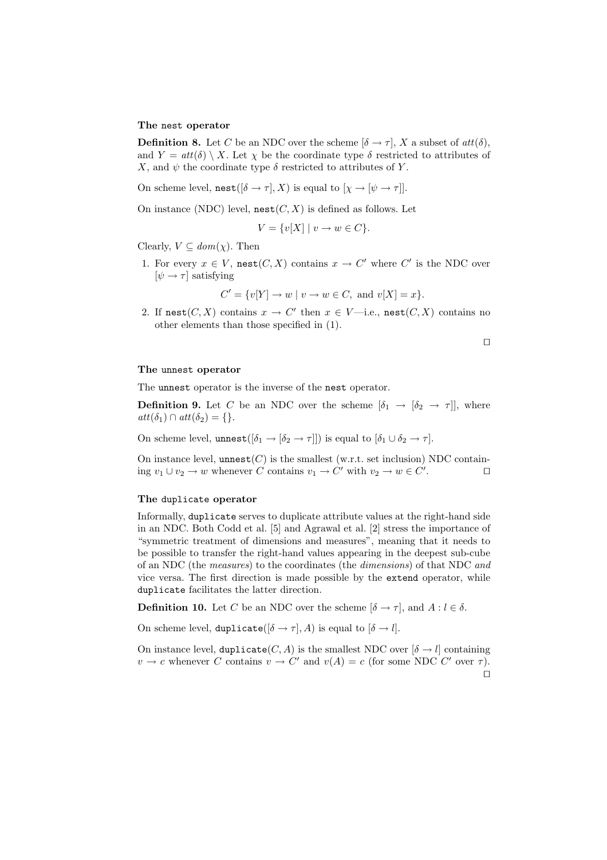#### **The** nest **operator**

**Definition 8.** Let C be an NDC over the scheme  $[\delta \rightarrow \tau]$ , X a subset of  $att(\delta)$ , and  $Y = att(\delta) \setminus X$ . Let  $\chi$  be the coordinate type  $\delta$  restricted to attributes of X, and  $\psi$  the coordinate type  $\delta$  restricted to attributes of Y.

On scheme level,  $\text{nest}([\delta \to \tau], X)$  is equal to  $[\chi \to [\psi \to \tau]].$ 

On instance (NDC) level,  $\text{nest}(C, X)$  is defined as follows. Let

$$
V = \{v[X] \mid v \to w \in C\}.
$$

Clearly,  $V \subseteq dom(\chi)$ . Then

1. For every  $x \in V$ , nest $(C, X)$  contains  $x \to C'$  where  $C'$  is the NDC over  $[\psi \rightarrow \tau]$  satisfying

 $C' = \{v[Y] \rightarrow w \mid v \rightarrow w \in C, \text{ and } v[X] = x\}.$ 

2. If nest $(C, X)$  contains  $x \to C'$  then  $x \in V$ —i.e., nest $(C, X)$  contains no other elements than those specified in (1).

 $\Box$ 

#### **The** unnest **operator**

The unnest operator is the inverse of the nest operator.

**Definition 9.** Let C be an NDC over the scheme  $[\delta_1 \rightarrow [\delta_2 \rightarrow \tau]]$ , where  $att(\delta_1) \cap att(\delta_2) = \{\}.$ 

On scheme level, unnest $([\delta_1 \to [\delta_2 \to \tau]])$  is equal to  $[\delta_1 \cup \delta_2 \to \tau]$ .

On instance level, unnest $(C)$  is the smallest (w.r.t. set inclusion) NDC containing  $v_1 \cup v_2 \to w$  whenever C contains  $v_1 \to C'$  with  $v_2 \to w \in C'$ . . — П

# **The** duplicate **operator**

Informally, duplicate serves to duplicate attribute values at the right-hand side in an NDC. Both Codd et al. [5] and Agrawal et al. [2] stress the importance of "symmetric treatment of dimensions and measures", meaning that it needs to be possible to transfer the right-hand values appearing in the deepest sub-cube of an NDC (the *measures*) to the coordinates (the *dimensions*) of that NDC *and* vice versa. The first direction is made possible by the extend operator, while duplicate facilitates the latter direction.

**Definition 10.** Let C be an NDC over the scheme  $[\delta \to \tau]$ , and  $A : l \in \delta$ .

On scheme level, duplicate( $[\delta \rightarrow \tau]$ , A) is equal to  $[\delta \rightarrow l]$ .

On instance level, duplicate( $C, A$ ) is the smallest NDC over  $[\delta \rightarrow l]$  containing  $v \to c$  whenever C contains  $v \to C'$  and  $v(A) = c$  (for some NDC C' over  $\tau$ ).  $\Box$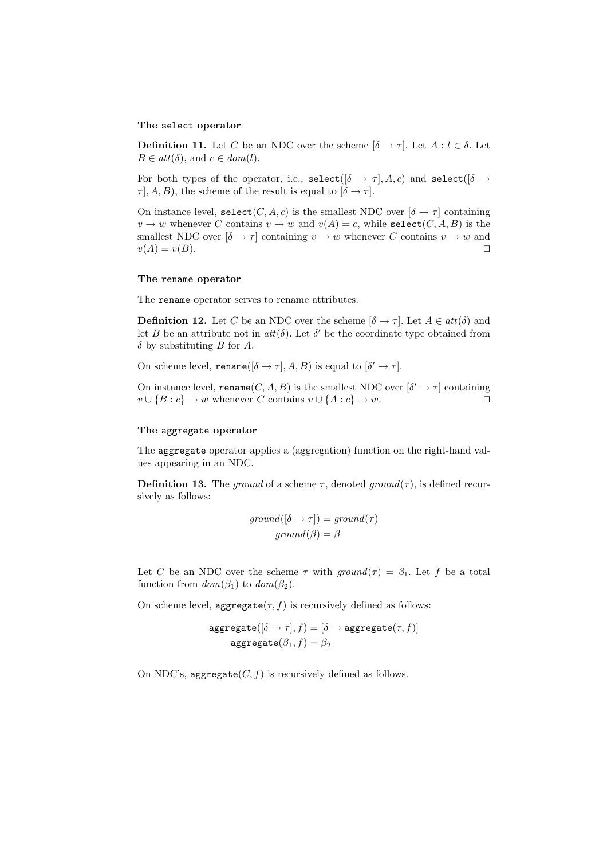#### **The** select **operator**

**Definition 11.** Let C be an NDC over the scheme  $[\delta \to \tau]$ . Let  $A : l \in \delta$ . Let  $B \in att(\delta)$ , and  $c \in dom(l)$ .

For both types of the operator, i.e.,  $\text{select}([\delta \rightarrow \tau], A, c)$  and  $\text{select}([\delta \rightarrow \tau], A, c)$  $\tau$ ,  $(A, B)$ , the scheme of the result is equal to  $[\delta \rightarrow \tau]$ .

On instance level,  $\text{select}(C, A, c)$  is the smallest NDC over  $[\delta \to \tau]$  containing  $v \to w$  whenever C contains  $v \to w$  and  $v(A) = c$ , while select(C, A, B) is the smallest NDC over  $[\delta \to \tau]$  containing  $v \to w$  whenever C contains  $v \to w$  and  $v(A) = v(B).$ 

#### **The** rename **operator**

The rename operator serves to rename attributes.

**Definition 12.** Let C be an NDC over the scheme  $[\delta \rightarrow \tau]$ . Let  $A \in att(\delta)$  and let B be an attribute not in  $att(\delta)$ . Let  $\delta'$  be the coordinate type obtained from  $\delta$  by substituting B for A.

On scheme level, rename( $[\delta \rightarrow \tau]$ , A, B) is equal to  $[\delta' \rightarrow \tau]$ .

On instance level, rename $(C, A, B)$  is the smallest NDC over  $[\delta' \rightarrow \tau]$  containing  $v \cup \{B : c\} \to w$  whenever C contains  $v \cup \{A : c\} \to w$ .

#### **The** aggregate **operator**

The aggregate operator applies a (aggregation) function on the right-hand values appearing in an NDC.

**Definition 13.** The *ground* of a scheme  $\tau$ , denoted *ground* $(\tau)$ , is defined recursively as follows:

$$
ground([\delta \to \tau]) = ground(\tau)
$$

$$
ground(\beta) = \beta
$$

Let C be an NDC over the scheme  $\tau$  with  $ground(\tau) = \beta_1$ . Let f be a total function from  $dom(\beta_1)$  to  $dom(\beta_2)$ .

On scheme level, aggregate $(\tau, f)$  is recursively defined as follows:

$$
\begin{aligned} \texttt{aggregate}([\delta \to \tau], f) = [\delta \to \texttt{aggregate}(\tau, f)] \\ \texttt{aggregate}(\beta_1, f) = \beta_2 \end{aligned}
$$

On NDC's, aggregate $(C, f)$  is recursively defined as follows.